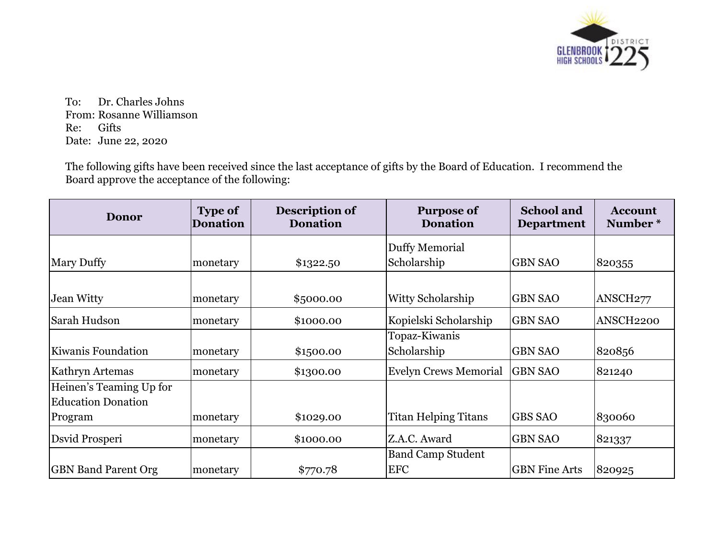

To: Dr. Charles Johns From: Rosanne Williamson Re: Gifts Date: June 22, 2020

The following gifts have been received since the last acceptance of gifts by the Board of Education. I recommend the Board approve the acceptance of the following:

| <b>Donor</b>               | <b>Type of</b><br><b>Donation</b> | Description of<br><b>Donation</b> | <b>Purpose of</b><br><b>Donation</b> | <b>School and</b><br><b>Department</b> | <b>Account</b><br>Number* |
|----------------------------|-----------------------------------|-----------------------------------|--------------------------------------|----------------------------------------|---------------------------|
|                            |                                   |                                   | Duffy Memorial                       |                                        |                           |
| <b>Mary Duffy</b>          | monetary                          | \$1322.50                         | Scholarship                          | <b>GBN SAO</b>                         | 820355                    |
|                            |                                   |                                   |                                      |                                        |                           |
| <b>Jean Witty</b>          | monetary                          | \$5000.00                         | Witty Scholarship                    | <b>GBN SAO</b>                         | ANSCH <sub>277</sub>      |
| Sarah Hudson               | monetary                          | \$1000.00                         | Kopielski Scholarship                | <b>GBN SAO</b>                         | ANSCH2200                 |
|                            |                                   |                                   | Topaz-Kiwanis                        |                                        |                           |
| Kiwanis Foundation         | monetary                          | \$1,500.00                        | Scholarship                          | <b>GBN SAO</b>                         | 820856                    |
| Kathryn Artemas            | monetary                          | \$1300.00                         | <b>Evelyn Crews Memorial</b>         | <b>GBN SAO</b>                         | 821240                    |
| Heinen's Teaming Up for    |                                   |                                   |                                      |                                        |                           |
| <b>Education Donation</b>  |                                   |                                   |                                      |                                        |                           |
| Program                    | monetary                          | \$1029.00                         | <b>Titan Helping Titans</b>          | <b>GBS SAO</b>                         | 830060                    |
| Dsvid Prosperi             | monetary                          | \$1000.00                         | Z.A.C. Award                         | <b>GBN SAO</b>                         | 821337                    |
|                            |                                   |                                   | <b>Band Camp Student</b>             |                                        |                           |
| <b>GBN Band Parent Org</b> | monetary                          | \$770.78                          | <b>EFC</b>                           | <b>GBN</b> Fine Arts                   | 820925                    |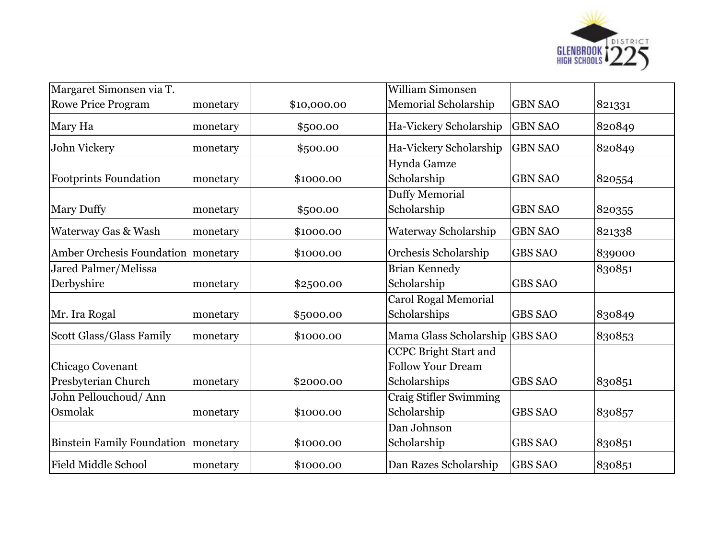

| Margaret Simonsen via T.          |          |             | <b>William Simonsen</b>        |                |        |
|-----------------------------------|----------|-------------|--------------------------------|----------------|--------|
| <b>Rowe Price Program</b>         | monetary | \$10,000.00 | Memorial Scholarship           | <b>GBN SAO</b> | 821331 |
| Mary Ha                           | monetary | \$500.00    | Ha-Vickery Scholarship         | <b>GBN SAO</b> | 820849 |
| John Vickery                      | monetary | \$500.00    | Ha-Vickery Scholarship         | <b>GBN SAO</b> | 820849 |
|                                   |          |             | Hynda Gamze                    |                |        |
| <b>Footprints Foundation</b>      | monetary | \$1000.00   | Scholarship                    | <b>GBN SAO</b> | 820554 |
|                                   |          |             | Duffy Memorial                 |                |        |
| <b>Mary Duffy</b>                 | monetary | \$500.00    | Scholarship                    | <b>GBN SAO</b> | 820355 |
| Waterway Gas & Wash               | monetary | \$1000.00   | Waterway Scholarship           | <b>GBN SAO</b> | 821338 |
| <b>Amber Orchesis Foundation</b>  | monetary | \$1000.00   | Orchesis Scholarship           | <b>GBS SAO</b> | 839000 |
| Jared Palmer/Melissa              |          |             | <b>Brian Kennedy</b>           |                | 830851 |
| Derbyshire                        | monetary | \$2500.00   | Scholarship                    | <b>GBS SAO</b> |        |
|                                   |          |             | <b>Carol Rogal Memorial</b>    |                |        |
| Mr. Ira Rogal                     | monetary | \$5000.00   | Scholarships                   | <b>GBS SAO</b> | 830849 |
| <b>Scott Glass/Glass Family</b>   | monetary | \$1000.00   | Mama Glass Scholarship GBS SAO |                | 830853 |
|                                   |          |             | <b>CCPC Bright Start and</b>   |                |        |
| Chicago Covenant                  |          |             | <b>Follow Your Dream</b>       |                |        |
| Presbyterian Church               | monetary | \$2000.00   | Scholarships                   | <b>GBS SAO</b> | 830851 |
| John Pellouchoud/Ann              |          |             | <b>Craig Stifler Swimming</b>  |                |        |
| Osmolak                           | monetary | \$1000.00   | Scholarship                    | <b>GBS SAO</b> | 830857 |
|                                   |          |             | Dan Johnson                    |                |        |
| <b>Binstein Family Foundation</b> | monetary | \$1000.00   | Scholarship                    | <b>GBS SAO</b> | 830851 |
| <b>Field Middle School</b>        | monetary | \$1000.00   | Dan Razes Scholarship          | <b>GBS SAO</b> | 830851 |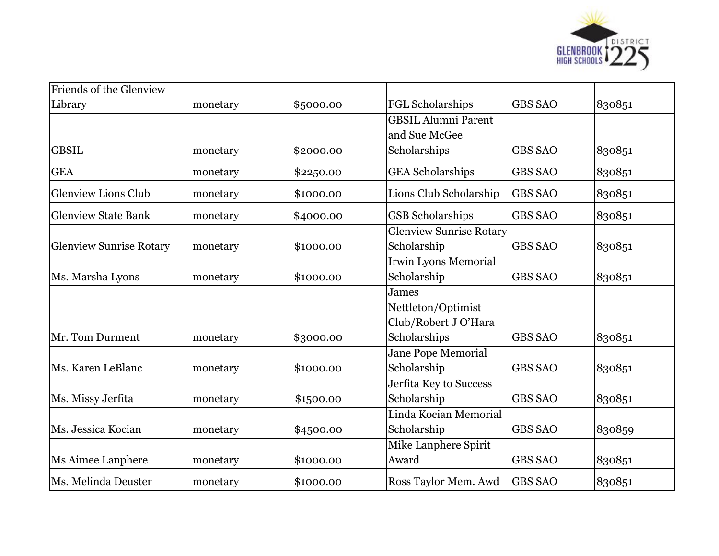

| Friends of the Glenview        |          |           |                                |                |        |
|--------------------------------|----------|-----------|--------------------------------|----------------|--------|
| Library                        | monetary | \$5000.00 | FGL Scholarships               | <b>GBS SAO</b> | 830851 |
|                                |          |           | <b>GBSIL Alumni Parent</b>     |                |        |
|                                |          |           | and Sue McGee                  |                |        |
| <b>GBSIL</b>                   | monetary | \$2000.00 | Scholarships                   | <b>GBS SAO</b> | 830851 |
| <b>GEA</b>                     | monetary | \$2250.00 | <b>GEA</b> Scholarships        | <b>GBS SAO</b> | 830851 |
| <b>Glenview Lions Club</b>     | monetary | \$1000.00 | Lions Club Scholarship         | <b>GBS SAO</b> | 830851 |
| <b>Glenview State Bank</b>     | monetary | \$4000.00 | <b>GSB</b> Scholarships        | <b>GBS SAO</b> | 830851 |
|                                |          |           | <b>Glenview Sunrise Rotary</b> |                |        |
| <b>Glenview Sunrise Rotary</b> | monetary | \$1000.00 | Scholarship                    | <b>GBS SAO</b> | 830851 |
|                                |          |           | <b>Irwin Lyons Memorial</b>    |                |        |
| Ms. Marsha Lyons               | monetary | \$1000.00 | Scholarship                    | <b>GBS SAO</b> | 830851 |
|                                |          |           | James                          |                |        |
|                                |          |           | Nettleton/Optimist             |                |        |
|                                |          |           | Club/Robert J O'Hara           |                |        |
| Mr. Tom Durment                | monetary | \$3000.00 | Scholarships                   | <b>GBS SAO</b> | 830851 |
|                                |          |           | <b>Jane Pope Memorial</b>      |                |        |
| Ms. Karen LeBlanc              | monetary | \$1000.00 | Scholarship                    | <b>GBS SAO</b> | 830851 |
|                                |          |           | Jerfita Key to Success         |                |        |
| Ms. Missy Jerfita              | monetary | \$1500.00 | Scholarship                    | <b>GBS SAO</b> | 830851 |
|                                |          |           | Linda Kocian Memorial          |                |        |
| Ms. Jessica Kocian             | monetary | \$4500.00 | Scholarship                    | <b>GBS SAO</b> | 830859 |
|                                |          |           | Mike Lanphere Spirit           |                |        |
| Ms Aimee Lanphere              | monetary | \$1000.00 | Award                          | <b>GBS SAO</b> | 830851 |
| Ms. Melinda Deuster            | monetary | \$1000.00 | Ross Taylor Mem. Awd           | <b>GBS SAO</b> | 830851 |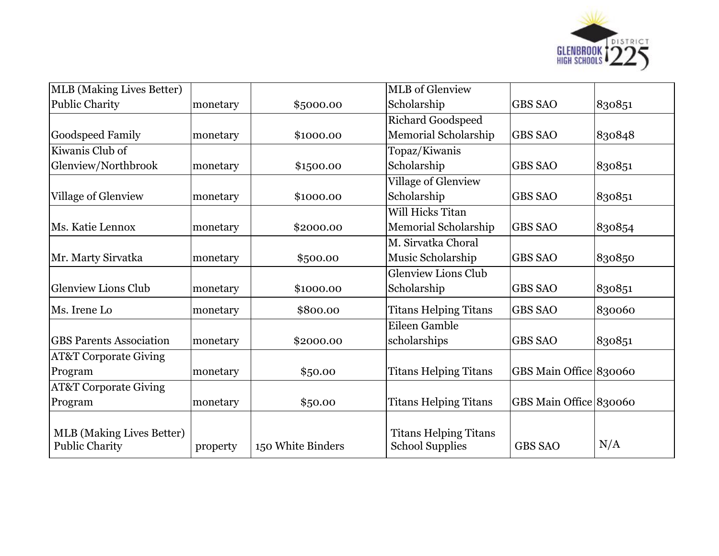

| <b>MLB</b> (Making Lives Better)                          |          |                   | <b>MLB</b> of Glenview                                 |                        |        |
|-----------------------------------------------------------|----------|-------------------|--------------------------------------------------------|------------------------|--------|
| Public Charity                                            | monetary | \$5000.00         | Scholarship                                            | <b>GBS SAO</b>         | 830851 |
|                                                           |          |                   | <b>Richard Goodspeed</b>                               |                        |        |
| <b>Goodspeed Family</b>                                   | monetary | \$1000.00         | Memorial Scholarship                                   | <b>GBS SAO</b>         | 830848 |
| Kiwanis Club of                                           |          |                   | Topaz/Kiwanis                                          |                        |        |
| Glenview/Northbrook                                       | monetary | \$1500.00         | Scholarship                                            | <b>GBS SAO</b>         | 830851 |
|                                                           |          |                   | <b>Village of Glenview</b>                             |                        |        |
| Village of Glenview                                       | monetary | \$1000.00         | Scholarship                                            | <b>GBS SAO</b>         | 830851 |
|                                                           |          |                   | Will Hicks Titan                                       |                        |        |
| Ms. Katie Lennox                                          | monetary | \$2000.00         | Memorial Scholarship                                   | <b>GBS SAO</b>         | 830854 |
|                                                           |          |                   | M. Sirvatka Choral                                     |                        |        |
| Mr. Marty Sirvatka                                        | monetary | \$500.00          | Music Scholarship                                      | <b>GBS SAO</b>         | 830850 |
|                                                           |          |                   | <b>Glenview Lions Club</b>                             |                        |        |
| <b>Glenview Lions Club</b>                                | monetary | \$1000.00         | Scholarship                                            | <b>GBS SAO</b>         | 830851 |
| Ms. Irene Lo                                              | monetary | \$800.00          | <b>Titans Helping Titans</b>                           | <b>GBS SAO</b>         | 830060 |
|                                                           |          |                   | Eileen Gamble                                          |                        |        |
| <b>GBS Parents Association</b>                            | monetary | \$2000.00         | scholarships                                           | <b>GBS SAO</b>         | 830851 |
| <b>AT&amp;T Corporate Giving</b>                          |          |                   |                                                        |                        |        |
| Program                                                   | monetary | \$50.00           | <b>Titans Helping Titans</b>                           | GBS Main Office 830060 |        |
| <b>AT&amp;T Corporate Giving</b>                          |          |                   |                                                        |                        |        |
| Program                                                   | monetary | \$50.00           | <b>Titans Helping Titans</b>                           | GBS Main Office 830060 |        |
| <b>MLB</b> (Making Lives Better)<br><b>Public Charity</b> | property | 150 White Binders | <b>Titans Helping Titans</b><br><b>School Supplies</b> | <b>GBS SAO</b>         | N/A    |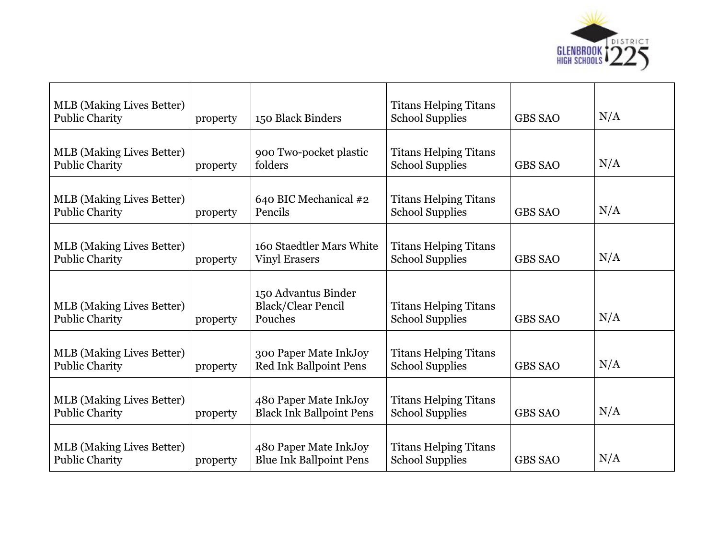

| <b>MLB</b> (Making Lives Better)<br><b>Public Charity</b> | property | 150 Black Binders                                           | <b>Titans Helping Titans</b><br><b>School Supplies</b> | <b>GBS SAO</b> | N/A |
|-----------------------------------------------------------|----------|-------------------------------------------------------------|--------------------------------------------------------|----------------|-----|
| <b>MLB</b> (Making Lives Better)<br><b>Public Charity</b> | property | 900 Two-pocket plastic<br>folders                           | <b>Titans Helping Titans</b><br><b>School Supplies</b> | <b>GBS SAO</b> | N/A |
| <b>MLB</b> (Making Lives Better)<br><b>Public Charity</b> | property | 640 BIC Mechanical #2<br>Pencils                            | <b>Titans Helping Titans</b><br><b>School Supplies</b> | <b>GBS SAO</b> | N/A |
| <b>MLB</b> (Making Lives Better)<br><b>Public Charity</b> | property | 160 Staedtler Mars White<br><b>Vinyl Erasers</b>            | <b>Titans Helping Titans</b><br><b>School Supplies</b> | <b>GBS SAO</b> | N/A |
| <b>MLB</b> (Making Lives Better)<br><b>Public Charity</b> | property | 150 Advantus Binder<br><b>Black/Clear Pencil</b><br>Pouches | <b>Titans Helping Titans</b><br><b>School Supplies</b> | <b>GBS SAO</b> | N/A |
| <b>MLB</b> (Making Lives Better)<br><b>Public Charity</b> | property | 300 Paper Mate InkJoy<br>Red Ink Ballpoint Pens             | <b>Titans Helping Titans</b><br><b>School Supplies</b> | <b>GBS SAO</b> | N/A |
| <b>MLB</b> (Making Lives Better)<br><b>Public Charity</b> | property | 480 Paper Mate InkJoy<br><b>Black Ink Ballpoint Pens</b>    | <b>Titans Helping Titans</b><br><b>School Supplies</b> | <b>GBS SAO</b> | N/A |
| <b>MLB</b> (Making Lives Better)<br><b>Public Charity</b> | property | 480 Paper Mate InkJoy<br><b>Blue Ink Ballpoint Pens</b>     | <b>Titans Helping Titans</b><br><b>School Supplies</b> | <b>GBS SAO</b> | N/A |